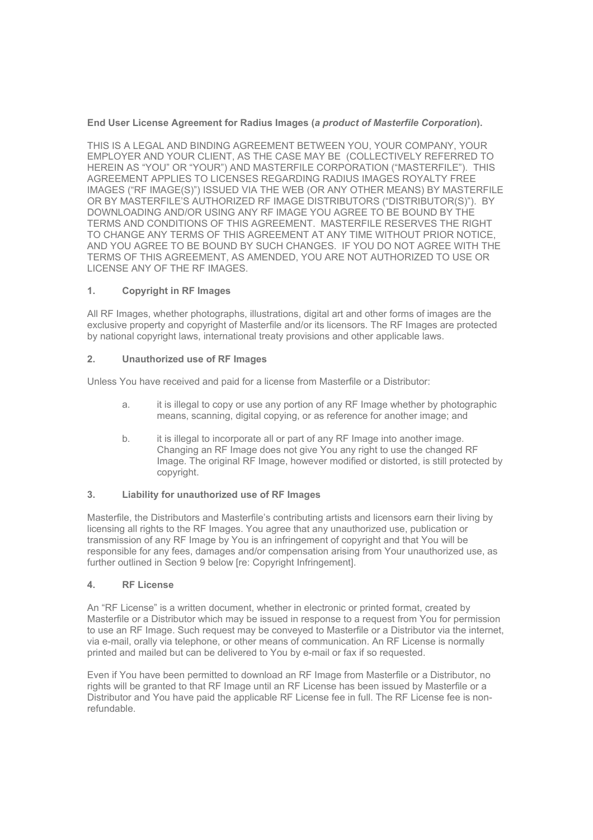# **End User License Agreement for Radius Images (***a product of Masterfile Corporation***).**

THIS IS A LEGAL AND BINDING AGREEMENT BETWEEN YOU, YOUR COMPANY, YOUR EMPLOYER AND YOUR CLIENT, AS THE CASE MAY BE (COLLECTIVELY REFERRED TO HEREIN AS "YOU" OR "YOUR") AND MASTERFILE CORPORATION ("MASTERFILE"). THIS AGREEMENT APPLIES TO LICENSES REGARDING RADIUS IMAGES ROYALTY FREE IMAGES ("RF IMAGE(S)") ISSUED VIA THE WEB (OR ANY OTHER MEANS) BY MASTERFILE OR BY MASTERFILE'S AUTHORIZED RF IMAGE DISTRIBUTORS ("DISTRIBUTOR(S)"). BY DOWNLOADING AND/OR USING ANY RF IMAGE YOU AGREE TO BE BOUND BY THE TERMS AND CONDITIONS OF THIS AGREEMENT. MASTERFILE RESERVES THE RIGHT TO CHANGE ANY TERMS OF THIS AGREEMENT AT ANY TIME WITHOUT PRIOR NOTICE, AND YOU AGREE TO BE BOUND BY SUCH CHANGES. IF YOU DO NOT AGREE WITH THE TERMS OF THIS AGREEMENT, AS AMENDED, YOU ARE NOT AUTHORIZED TO USE OR LICENSE ANY OF THE RF IMAGES.

## **1. Copyright in RF Images**

All RF Images, whether photographs, illustrations, digital art and other forms of images are the exclusive property and copyright of Masterfile and/or its licensors. The RF Images are protected by national copyright laws, international treaty provisions and other applicable laws.

## **2. Unauthorized use of RF Images**

Unless You have received and paid for a license from Masterfile or a Distributor:

- a. it is illegal to copy or use any portion of any RF Image whether by photographic means, scanning, digital copying, or as reference for another image; and
- b. it is illegal to incorporate all or part of any RF Image into another image. Changing an RF Image does not give You any right to use the changed RF Image. The original RF Image, however modified or distorted, is still protected by copyright.

#### **3. Liability for unauthorized use of RF Images**

Masterfile, the Distributors and Masterfile's contributing artists and licensors earn their living by licensing all rights to the RF Images. You agree that any unauthorized use, publication or transmission of any RF Image by You is an infringement of copyright and that You will be responsible for any fees, damages and/or compensation arising from Your unauthorized use, as further outlined in Section 9 below [re: Copyright Infringement].

#### **4. RF License**

An "RF License" is a written document, whether in electronic or printed format, created by Masterfile or a Distributor which may be issued in response to a request from You for permission to use an RF Image. Such request may be conveyed to Masterfile or a Distributor via the internet, via e-mail, orally via telephone, or other means of communication. An RF License is normally printed and mailed but can be delivered to You by e-mail or fax if so requested.

Even if You have been permitted to download an RF Image from Masterfile or a Distributor, no rights will be granted to that RF Image until an RF License has been issued by Masterfile or a Distributor and You have paid the applicable RF License fee in full. The RF License fee is nonrefundable.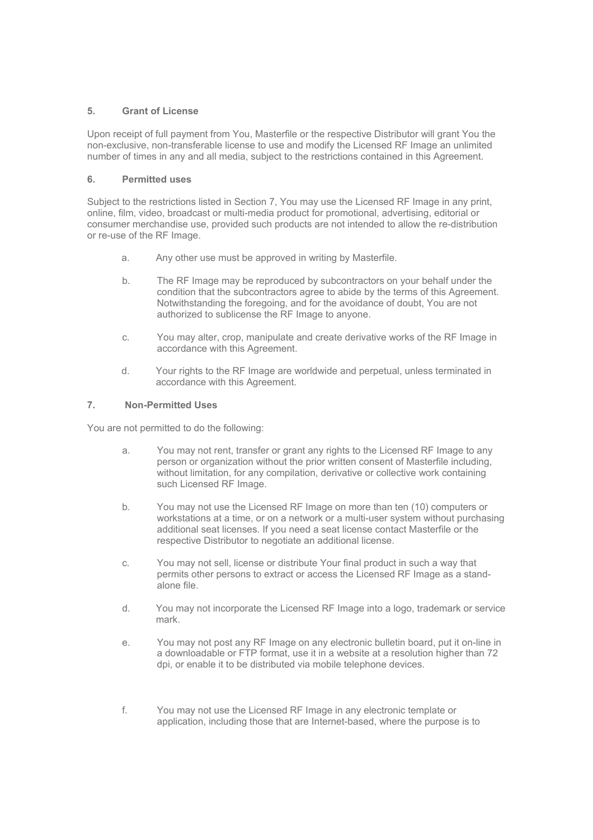# **5. Grant of License**

Upon receipt of full payment from You, Masterfile or the respective Distributor will grant You the non-exclusive, non-transferable license to use and modify the Licensed RF Image an unlimited number of times in any and all media, subject to the restrictions contained in this Agreement.

### **6. Permitted uses**

Subject to the restrictions listed in Section 7, You may use the Licensed RF Image in any print, online, film, video, broadcast or multi-media product for promotional, advertising, editorial or consumer merchandise use, provided such products are not intended to allow the re-distribution or re-use of the RF Image.

- a. Any other use must be approved in writing by Masterfile.
- b. The RF Image may be reproduced by subcontractors on your behalf under the condition that the subcontractors agree to abide by the terms of this Agreement. Notwithstanding the foregoing, and for the avoidance of doubt, You are not authorized to sublicense the RF Image to anyone.
- c. You may alter, crop, manipulate and create derivative works of the RF Image in accordance with this Agreement.
- d. Your rights to the RF Image are worldwide and perpetual, unless terminated in accordance with this Agreement.

## **7. Non-Permitted Uses**

You are not permitted to do the following:

- a. You may not rent, transfer or grant any rights to the Licensed RF Image to any person or organization without the prior written consent of Masterfile including, without limitation, for any compilation, derivative or collective work containing such Licensed RF Image.
- b. You may not use the Licensed RF Image on more than ten (10) computers or workstations at a time, or on a network or a multi-user system without purchasing additional seat licenses. If you need a seat license contact Masterfile or the respective Distributor to negotiate an additional license.
- c. You may not sell, license or distribute Your final product in such a way that permits other persons to extract or access the Licensed RF Image as a standalone file.
- d. You may not incorporate the Licensed RF Image into a logo, trademark or service mark.
- e. You may not post any RF Image on any electronic bulletin board, put it on-line in a downloadable or FTP format, use it in a website at a resolution higher than 72 dpi, or enable it to be distributed via mobile telephone devices.
- f. You may not use the Licensed RF Image in any electronic template or application, including those that are Internet-based, where the purpose is to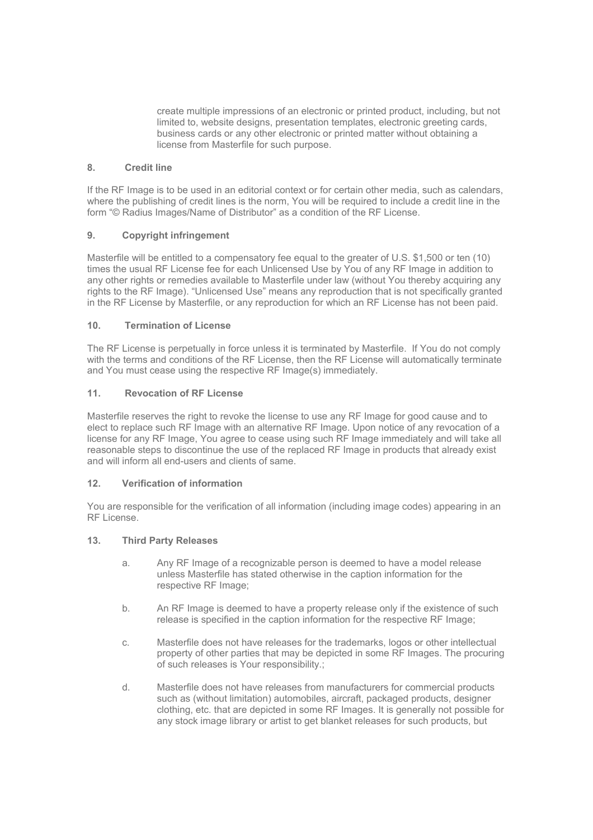create multiple impressions of an electronic or printed product, including, but not limited to, website designs, presentation templates, electronic greeting cards, business cards or any other electronic or printed matter without obtaining a license from Masterfile for such purpose.

# **8. Credit line**

If the RF Image is to be used in an editorial context or for certain other media, such as calendars, where the publishing of credit lines is the norm, You will be required to include a credit line in the form "© Radius Images/Name of Distributor" as a condition of the RF License.

## **9. Copyright infringement**

Masterfile will be entitled to a compensatory fee equal to the greater of U.S. \$1,500 or ten (10) times the usual RF License fee for each Unlicensed Use by You of any RF Image in addition to any other rights or remedies available to Masterfile under law (without You thereby acquiring any rights to the RF Image). "Unlicensed Use" means any reproduction that is not specifically granted in the RF License by Masterfile, or any reproduction for which an RF License has not been paid.

## **10. Termination of License**

The RF License is perpetually in force unless it is terminated by Masterfile. If You do not comply with the terms and conditions of the RF License, then the RF License will automatically terminate and You must cease using the respective RF Image(s) immediately.

## **11. Revocation of RF License**

Masterfile reserves the right to revoke the license to use any RF Image for good cause and to elect to replace such RF Image with an alternative RF Image. Upon notice of any revocation of a license for any RF Image, You agree to cease using such RF Image immediately and will take all reasonable steps to discontinue the use of the replaced RF Image in products that already exist and will inform all end-users and clients of same.

#### **12. Verification of information**

You are responsible for the verification of all information (including image codes) appearing in an RF License.

#### **13. Third Party Releases**

- a. Any RF Image of a recognizable person is deemed to have a model release unless Masterfile has stated otherwise in the caption information for the respective RF Image;
- b. An RF Image is deemed to have a property release only if the existence of such release is specified in the caption information for the respective RF Image;
- c. Masterfile does not have releases for the trademarks, logos or other intellectual property of other parties that may be depicted in some RF Images. The procuring of such releases is Your responsibility.;
- d. Masterfile does not have releases from manufacturers for commercial products such as (without limitation) automobiles, aircraft, packaged products, designer clothing, etc. that are depicted in some RF Images. It is generally not possible for any stock image library or artist to get blanket releases for such products, but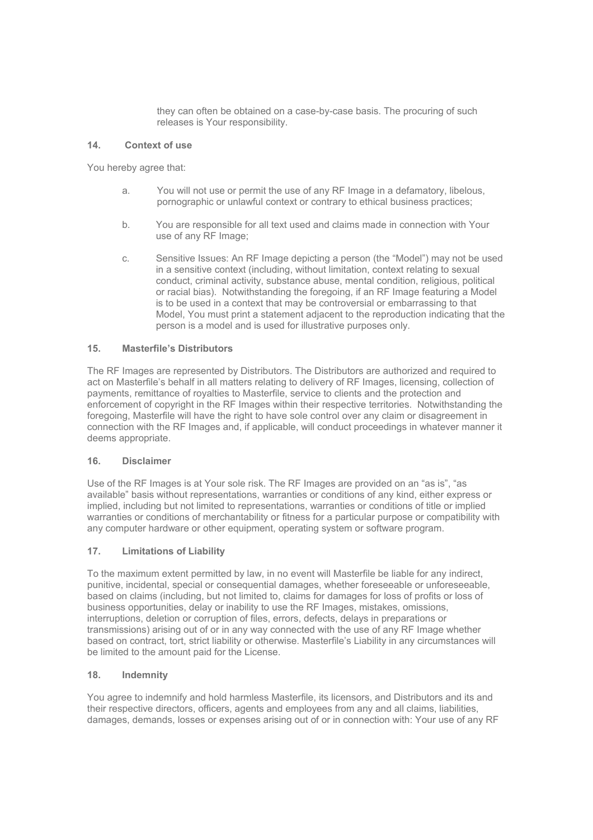they can often be obtained on a case-by-case basis. The procuring of such releases is Your responsibility.

## **14. Context of use**

You hereby agree that:

- a. You will not use or permit the use of any RF Image in a defamatory, libelous, pornographic or unlawful context or contrary to ethical business practices;
- b. You are responsible for all text used and claims made in connection with Your use of any RF Image;
- c. Sensitive Issues: An RF Image depicting a person (the "Model") may not be used in a sensitive context (including, without limitation, context relating to sexual conduct, criminal activity, substance abuse, mental condition, religious, political or racial bias). Notwithstanding the foregoing, if an RF Image featuring a Model is to be used in a context that may be controversial or embarrassing to that Model, You must print a statement adjacent to the reproduction indicating that the person is a model and is used for illustrative purposes only.

## **15. Masterfile's Distributors**

The RF Images are represented by Distributors. The Distributors are authorized and required to act on Masterfile's behalf in all matters relating to delivery of RF Images, licensing, collection of payments, remittance of royalties to Masterfile, service to clients and the protection and enforcement of copyright in the RF Images within their respective territories. Notwithstanding the foregoing, Masterfile will have the right to have sole control over any claim or disagreement in connection with the RF Images and, if applicable, will conduct proceedings in whatever manner it deems appropriate.

#### **16. Disclaimer**

Use of the RF Images is at Your sole risk. The RF Images are provided on an "as is", "as available" basis without representations, warranties or conditions of any kind, either express or implied, including but not limited to representations, warranties or conditions of title or implied warranties or conditions of merchantability or fitness for a particular purpose or compatibility with any computer hardware or other equipment, operating system or software program.

# **17. Limitations of Liability**

To the maximum extent permitted by law, in no event will Masterfile be liable for any indirect, punitive, incidental, special or consequential damages, whether foreseeable or unforeseeable. based on claims (including, but not limited to, claims for damages for loss of profits or loss of business opportunities, delay or inability to use the RF Images, mistakes, omissions, interruptions, deletion or corruption of files, errors, defects, delays in preparations or transmissions) arising out of or in any way connected with the use of any RF Image whether based on contract, tort, strict liability or otherwise. Masterfile's Liability in any circumstances will be limited to the amount paid for the License.

#### **18. Indemnity**

You agree to indemnify and hold harmless Masterfile, its licensors, and Distributors and its and their respective directors, officers, agents and employees from any and all claims, liabilities, damages, demands, losses or expenses arising out of or in connection with: Your use of any RF